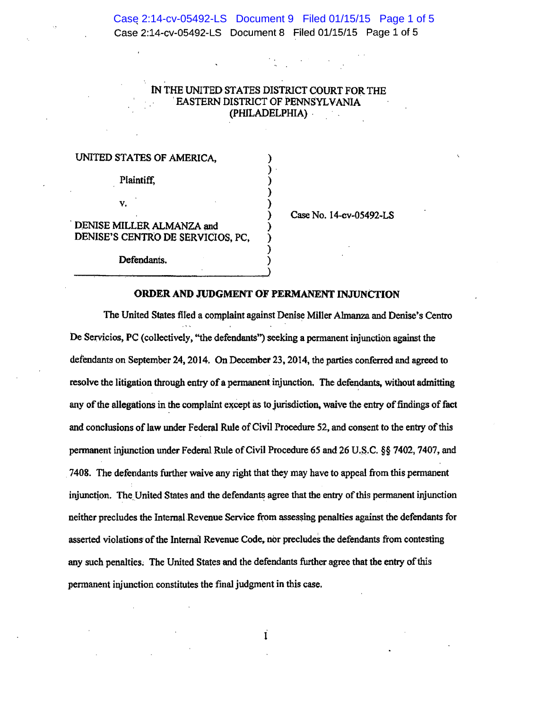Case 2:14-cv-05492-LS Document 9 Filed 01/15/15 Page 1 of 5 Case 2:14-cv-05492-LS Document 8 Filed 01/15/15 Page 1 of 5

## IN THE UNITED STATES DISTRICT COURT FOR THE 'EASTERN DISTRICT OF PENNSYLVANiA (PffiLADELPHIA) ·

) ) . ) ) )

) ) ) )

## UNITED STATES OF AMERICA,

Plaintiff,

v.

DENISE MILLER ALMANZA and DENISE'S CENTRO DE SERVICIOS, PC,

Defendants.

Case No. 14-cv-05492-LS

## ORDER AND JUDGMENT OF PERMANENT INJUNCTION

The United States filed a complaint against Denise Miller Almanza and Denise's Centro De Servicios, PC (collectively, "the defendants") seeking a permanent injunction against the defendants on September 24,2014. On December 23,2014, the parties conferred and agreed to resolve the litigation through entry of a permanent injunction. The defendants, without admitting any of the allegations in the complaint except as to jurisdiction, waive the entry of findings of fact and conclusions of law under Federal Rule of Civil Procedure 52, and consent to the entry of this pennanent injunction under Federal Rule of Civil Procedure *65* and 26 U.S.C. §§ 7402, 7407, and 7408. The defendants further waive any right that they may have to appeal from this permanent injunction. The United States and the defendants agree that the entry of this permanent injunction neither precludes the Internal Revenue Service from assessing penalties against the defendants for asserted violations of the Internal Revenue Code, nor precludes the defendants from contesting any such penalties; The United States and the defendants further agree that the entry of this permanent injunction constitutes the final judgment in this case.

I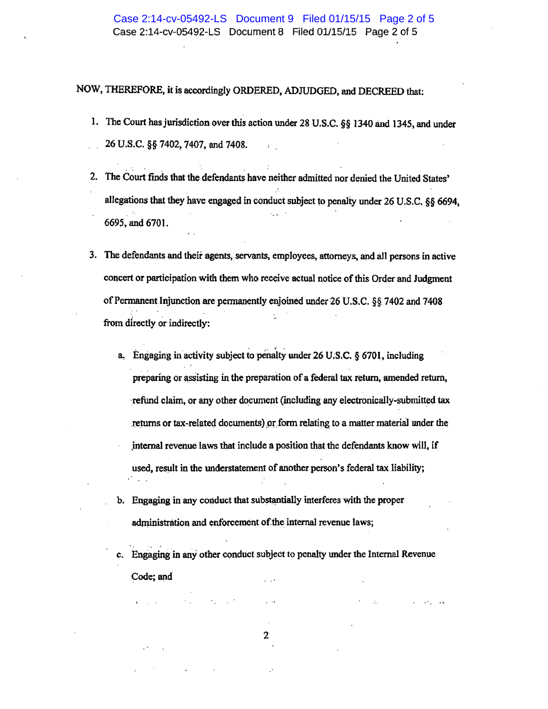NOW, THEREFORE, it is accordingly ORDERED, ADJUDGED, and DECREED that:

- 1. The Court has jurisdiction over this action under 28 U.S.C. §§ 1340 and 1345, and under 26 U.S.C. §§ 7402, 7407, and 7408.
- 2. The Court finds that the defendants have neither admitted nor denied the United States' allegations that they have engaged in conduct subject to penalty under 26 U.S.C. §§ 6694, 669S. and 6701.
- 3. 1be defendants and their agents, servants, employees, attorneys, and all persons in active concert or participation with them who receive actual notice of this Order and Judgment of Permanent Injunction are permanently enjoined under 26 U.S.C.  $\S$ §. 7402 and 7408 from directly or indirectly:
	- a. Engaging in activity subject to penalty under 26 U.S.C.  $\S$  6701, including preparing or assisting in the preparation of a federal tax return, amended return, refund claim, or any other document (including any electronically-submitted tax returns or tax-related documents) or form relating to a matter material under the internal revenue laws that include a position that the defendants know will, if used, result in the understatement of another person's federal tax liability;
	- b. Engaging in any conduct that substantially interferes with the proper administration and enforcement of the internal revenue laws;

c. Engaging in any other conduct subject to penalty under the Internal Revenue Code; and

 $\epsilon = 10^4$  ,  $\epsilon = 10^4$ 

2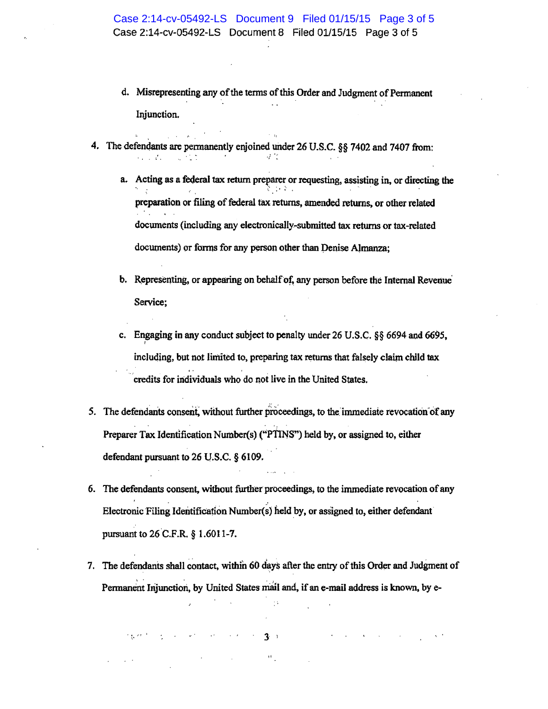- d. Misrepresenting any of the terms of this Order and Judgment of Permanent Injunction.
- 4. The defendants are permanently enjoined under 26 U.S.C. §§ 7402 and 7407 from:

•''

a. Acting as a federal tax return preparer or requesting, assisting in, or directing the ''< ~· : t ;· • ., • <sup>&</sup>lt; preparation or filing of federal tax returns, amended returns, or other related documents (including any electronically-submitted tax returns or tax-related documents) or forms for any person other than Denise Almanza;

- b. Representing, or appearing on behalf of, any person before the Internal Revenue<sup>-</sup> Service;
- c. Engaging in any conduct subject to penalty under 26 U.S.C. *§§* 6694 and 6695, ' including, but not limited to, preparing tax returns that falsely claim child tax credits for individuals who do not live in the United States.
- 5. The defendants consent, without further proceedings, to the immediate revocation of any Preparer Tax Identification Number(s) ("PTINS") held by, or assigned to, either defendant pursuant to 26 U.S.C. § 6109.
- 6. The defendants consent, without further proceedings, to the immediate revocation of any Electronic Filing Identification Number(s) held by, or assigned to, either defendant pursuant to 26 C.F.R. *§* 1.6011-7.
- 7. The defendants shall contact, within 60 days after the entry of this Order and Judgment of Permanent Injunction, by United States mail and, if an e-mail address is known, by e-

 $3$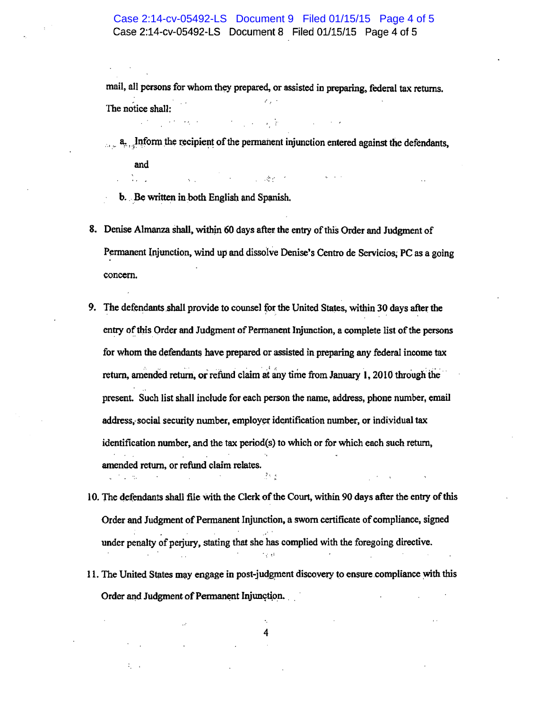## Case 2:14-cv-05492-LS Document 9 Filed 01/15/15 Page 4 of 5 Case 2:14-cv-05492-LS Document 8 Filed 01/15/15 Page 4 of 5

mail, all persons for whom they prepared, or assisted in preparing, federal tax returns. The notice shall:

 $\mathbf{a}_{n+1}$  . Inform the recipient of the permanent injunction entered against the defendants,

 $\mathcal{L}^{\text{max}}$  , where  $\mathcal{L}^{\text{max}}$ 

v V

and  $\mathbb{N}_{\mathbb{Z}_{\geq 0}}$  .

b. Be written in both English and Spanish.

- 8. Denise Almanza shall, withjn 60 days after the entry of this Order and Judgment of Permanent Injunction, wind up and dissolve Denise's Centro de Servicios; PC as a going concern.
- 9. The defendants shall provide to counsel for the United States, within 30 days after the entry of this Order and Judgment of Permanent Injunction, a complete list of the persons for whom the defendants have prepared or assisted in preparing any federal income tax return, amended return, or refund claim at any time from January 1, 2010 through the present. Such list shall include for each person the name, address, phone number, email address, social security number, employer identification number, or individual tax identification number, and the tax period(s} to which or for which each such return, amended return, or refund claim relates. ∄tig
- 10. The defendants shall file with the Clerk of the Court, within 90 days after the entry of this Order and Judgment of Permanent Injunction, a sworn certificate of compliance, signed under penalty of perjury, stating that she has complied with the foregoing directive.
- 11. The United States may engage in post-judgment discovery to ensure compliance with this Order and Judgment of Permanent Injunction.

4